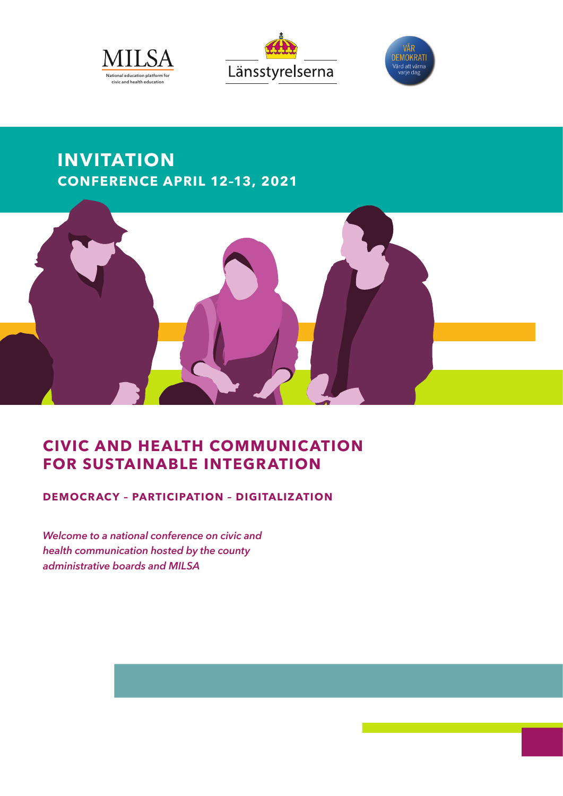





# **INVITATION CONFERENCE APRIL 12–13, 2021**



## **CIVIC AND HEALTH COMMUNICATION FOR SUSTAINABLE INTEGRATION**

**DEMOCRACY – PARTICIPATION – DIGITALIZATION**

*Welcome to a national conference on civic and health communication hosted by the county administrative boards and MILSA*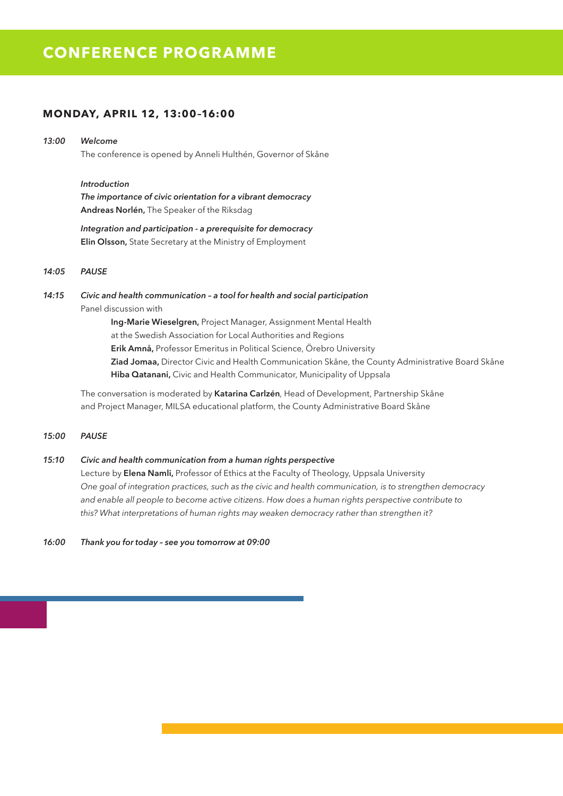## **CONFERENCE PROGRAMME**

## **MONDAY, APRIL 12, 13:00–16:00**

## *13:00 Welcome*

The conference is opened by Anneli Hulthén, Governor of Skåne

### *Introduction*

*The importance of civic orientation for a vibrant democracy* **Andreas Norlén,** The Speaker of the Riksdag

*Integration and participation - a prerequisite for democracy* **Elin Olsson,** State Secretary at the Ministry of Employment

#### *14:05 PAUSE*

### *14:15 Civic and health communication – a tool for health and social participation* Panel discussion with

**Ing-Marie Wieselgren,** Project Manager, Assignment Mental Health at the Swedish Association for Local Authorities and Regions **Erik Amnå,** Professor Emeritus in Political Science, Örebro University **Ziad Jomaa,** Director Civic and Health Communication Skåne, the County Administrative Board Skåne **Hiba Qatanani,** Civic and Health Communicator, Municipality of Uppsala

The conversation is moderated by **Katarina Carlzén**, Head of Development, Partnership Skåne and Project Manager, MILSA educational platform, the County Administrative Board Skåne

#### *15:00 PAUSE*

#### *15:10 Civic and health communication from a human rights perspective*

Lecture by **Elena Namli,** Professor of Ethics at the Faculty of Theology, Uppsala University *One goal of integration practices, such as the civic and health communication, is to strengthen democracy and enable all people to become active citizens. How does a human rights perspective contribute to this? What interpretations of human rights may weaken democracy rather than strengthen it?*

*16:00 Thank you for today – see you tomorrow at 09:00*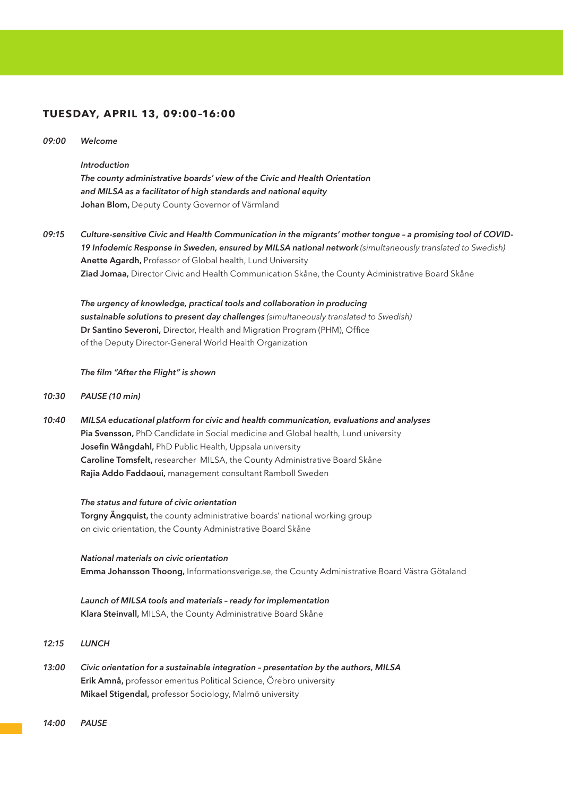## **TUESDAY, APRIL 13, 09:00–16:00**

#### *09:00 Welcome*

#### *Introduction*

*The county administrative boards' view of the Civic and Health Orientation and MILSA as a facilitator of high standards and national equity* **Johan Blom,** Deputy County Governor of Värmland

*09:15 Culture-sensitive Civic and Health Communication in the migrants' mother tongue – a promising tool of COVID-19 Infodemic Response in Sweden, ensured by MILSA national network (simultaneously translated to Swedish)* **Anette Agardh,** Professor of Global health, Lund University **Ziad Jomaa,** Director Civic and Health Communication Skåne, the County Administrative Board Skåne

*The urgency of knowledge, practical tools and collaboration in producing sustainable solutions to present day challenges (simultaneously translated to Swedish)* **Dr Santino Severoni,** Director, Health and Migration Program (PHM), Office of the Deputy Director-General World Health Organization

#### *The film "After the Flight" is shown*

#### *10:30 PAUSE (10 min)*

*10:40 MILSA educational platform for civic and health communication, evaluations and analyses* **Pia Svensson,** PhD Candidate in Social medicine and Global health, Lund university **Josefin Wångdahl,** PhD Public Health, Uppsala university **Caroline Tomsfelt,** researcher MILSA, the County Administrative Board Skåne **Rajia Addo Faddaoui,** management consultant Ramboll Sweden

#### *The status and future of civic orientation*

**Torgny Ängquist,** the county administrative boards' national working group on civic orientation, the County Administrative Board Skåne

*National materials on civic orientation* **Emma Johansson Thoong,** Informationsverige.se, the County Administrative Board Västra Götaland

*Launch of MILSA tools and materials – ready for implementation* **Klara Steinvall,** MILSA, the County Administrative Board Skåne

### *12:15 LUNCH*

*13:00 Civic orientation for a sustainable integration – presentation by the authors, MILSA* **Erik Amnå,** professor emeritus Political Science, Örebro university **Mikael Stigendal,** professor Sociology, Malmö university

*14:00 PAUSE*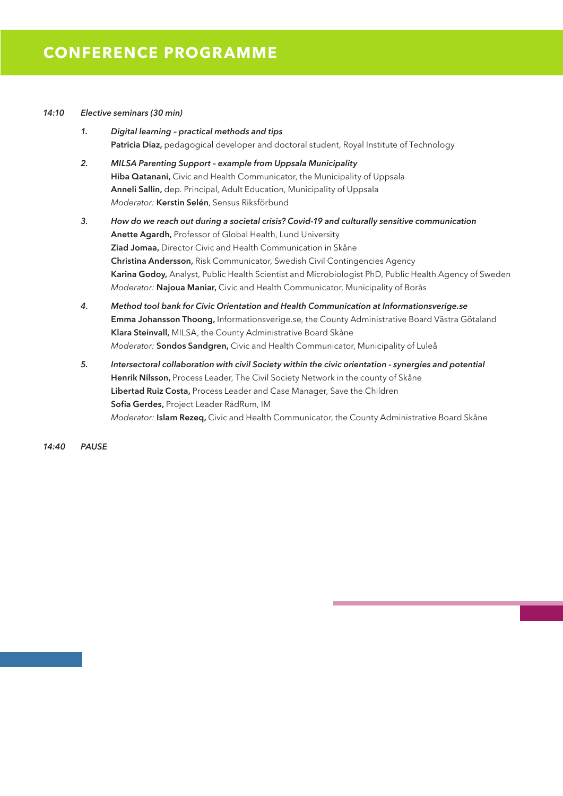#### *14:10 Elective seminars (30 min)*

- *1. Digital learning practical methods and tips* **Patricia Diaz,** pedagogical developer and doctoral student, Royal Institute of Technology
- *2. MILSA Parenting Support example from Uppsala Municipality* **Hiba Qatanani,** Civic and Health Communicator, the Municipality of Uppsala **Anneli Sallin,** dep. Principal, Adult Education, Municipality of Uppsala *Moderator:* **Kerstin Selén**, Sensus Riksförbund
- *3. How do we reach out during a societal crisis? Covid-19 and culturally sensitive communication* **Anette Agardh,** Professor of Global Health, Lund University **Ziad Jomaa,** Director Civic and Health Communication in Skåne **Christina Andersson,** Risk Communicator, Swedish Civil Contingencies Agency **Karina Godoy,** Analyst, Public Health Scientist and Microbiologist PhD, Public Health Agency of Sweden *Moderator:* **Najoua Maniar,** Civic and Health Communicator, Municipality of Borås
- *4. Method tool bank for Civic Orientation and Health Communication at Informationsverige.se* **Emma Johansson Thoong,** Informationsverige.se, the County Administrative Board Västra Götaland **Klara Steinvall,** MILSA, the County Administrative Board Skåne *Moderator:* **Sondos Sandgren,** Civic and Health Communicator, Municipality of Luleå
- *5. Intersectoral collaboration with civil Society within the civic orientation synergies and potential* **Henrik Nilsson,** Process Leader, The Civil Society Network in the county of Skåne **Libertad Ruiz Costa,** Process Leader and Case Manager, Save the Children **Sofia Gerdes,** Project Leader RådRum, IM *Moderator:* **Islam Rezeq,** Civic and Health Communicator, the County Administrative Board Skåne

*14:40 PAUSE*